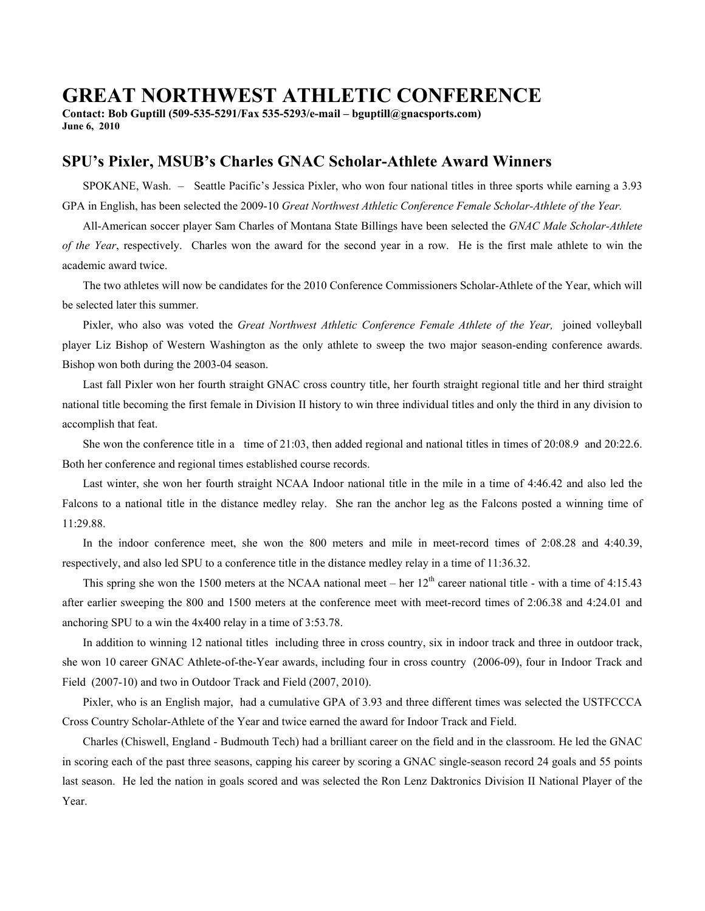## **GREAT NORTHWEST ATHLETIC CONFERENCE**

**Contact: Bob Guptill (509-535-5291/Fax 535-5293/e-mail – bguptill@gnacsports.com) June 6, 2010** 

## **SPU's Pixler, MSUB's Charles GNAC Scholar-Athlete Award Winners**

 SPOKANE, Wash. – Seattle Pacific's Jessica Pixler, who won four national titles in three sports while earning a 3.93 GPA in English, has been selected the 2009-10 *Great Northwest Athletic Conference Female Scholar-Athlete of the Year.* 

All-American soccer player Sam Charles of Montana State Billings have been selected the *GNAC Male Scholar-Athlete of the Year*, respectively. Charles won the award for the second year in a row. He is the first male athlete to win the academic award twice.

 The two athletes will now be candidates for the 2010 Conference Commissioners Scholar-Athlete of the Year, which will be selected later this summer.

Pixler, who also was voted the *Great Northwest Athletic Conference Female Athlete of the Year*, joined volleyball player Liz Bishop of Western Washington as the only athlete to sweep the two major season-ending conference awards. Bishop won both during the 2003-04 season.

 Last fall Pixler won her fourth straight GNAC cross country title, her fourth straight regional title and her third straight national title becoming the first female in Division II history to win three individual titles and only the third in any division to accomplish that feat.

 She won the conference title in a time of 21:03, then added regional and national titles in times of 20:08.9 and 20:22.6. Both her conference and regional times established course records.

 Last winter, she won her fourth straight NCAA Indoor national title in the mile in a time of 4:46.42 and also led the Falcons to a national title in the distance medley relay. She ran the anchor leg as the Falcons posted a winning time of 11:29.88.

 In the indoor conference meet, she won the 800 meters and mile in meet-record times of 2:08.28 and 4:40.39, respectively, and also led SPU to a conference title in the distance medley relay in a time of 11:36.32.

This spring she won the 1500 meters at the NCAA national meet – her  $12<sup>th</sup>$  career national title - with a time of 4:15.43 after earlier sweeping the 800 and 1500 meters at the conference meet with meet-record times of 2:06.38 and 4:24.01 and anchoring SPU to a win the 4x400 relay in a time of 3:53.78.

 In addition to winning 12 national titles including three in cross country, six in indoor track and three in outdoor track, she won 10 career GNAC Athlete-of-the-Year awards, including four in cross country (2006-09), four in Indoor Track and Field (2007-10) and two in Outdoor Track and Field (2007, 2010).

 Pixler, who is an English major, had a cumulative GPA of 3.93 and three different times was selected the USTFCCCA Cross Country Scholar-Athlete of the Year and twice earned the award for Indoor Track and Field.

 Charles (Chiswell, England - Budmouth Tech) had a brilliant career on the field and in the classroom. He led the GNAC in scoring each of the past three seasons, capping his career by scoring a GNAC single-season record 24 goals and 55 points last season. He led the nation in goals scored and was selected the Ron Lenz Daktronics Division II National Player of the Year.